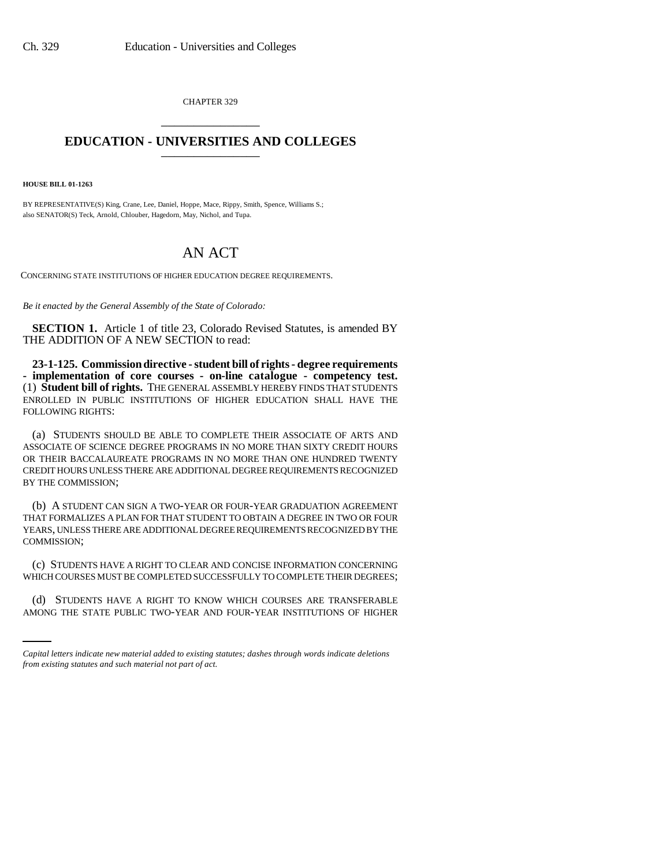CHAPTER 329 \_\_\_\_\_\_\_\_\_\_\_\_\_\_\_

## **EDUCATION - UNIVERSITIES AND COLLEGES** \_\_\_\_\_\_\_\_\_\_\_\_\_\_\_

**HOUSE BILL 01-1263**

BY REPRESENTATIVE(S) King, Crane, Lee, Daniel, Hoppe, Mace, Rippy, Smith, Spence, Williams S.; also SENATOR(S) Teck, Arnold, Chlouber, Hagedorn, May, Nichol, and Tupa.

## AN ACT

CONCERNING STATE INSTITUTIONS OF HIGHER EDUCATION DEGREE REQUIREMENTS.

*Be it enacted by the General Assembly of the State of Colorado:*

**SECTION 1.** Article 1 of title 23, Colorado Revised Statutes, is amended BY THE ADDITION OF A NEW SECTION to read:

**23-1-125. Commission directive - student bill of rights - degree requirements - implementation of core courses - on-line catalogue - competency test.** (1) **Student bill of rights.** THE GENERAL ASSEMBLY HEREBY FINDS THAT STUDENTS ENROLLED IN PUBLIC INSTITUTIONS OF HIGHER EDUCATION SHALL HAVE THE FOLLOWING RIGHTS:

(a) STUDENTS SHOULD BE ABLE TO COMPLETE THEIR ASSOCIATE OF ARTS AND ASSOCIATE OF SCIENCE DEGREE PROGRAMS IN NO MORE THAN SIXTY CREDIT HOURS OR THEIR BACCALAUREATE PROGRAMS IN NO MORE THAN ONE HUNDRED TWENTY CREDIT HOURS UNLESS THERE ARE ADDITIONAL DEGREE REQUIREMENTS RECOGNIZED BY THE COMMISSION;

(b) A STUDENT CAN SIGN A TWO-YEAR OR FOUR-YEAR GRADUATION AGREEMENT THAT FORMALIZES A PLAN FOR THAT STUDENT TO OBTAIN A DEGREE IN TWO OR FOUR YEARS, UNLESS THERE ARE ADDITIONAL DEGREE REQUIREMENTS RECOGNIZED BY THE COMMISSION;

WHICH COURSES MUST BE COMPLETED SUCCESSFULLY TO COMPLETE THEIR DEGREES; (c) STUDENTS HAVE A RIGHT TO CLEAR AND CONCISE INFORMATION CONCERNING

(d) STUDENTS HAVE A RIGHT TO KNOW WHICH COURSES ARE TRANSFERABLE AMONG THE STATE PUBLIC TWO-YEAR AND FOUR-YEAR INSTITUTIONS OF HIGHER

*Capital letters indicate new material added to existing statutes; dashes through words indicate deletions from existing statutes and such material not part of act.*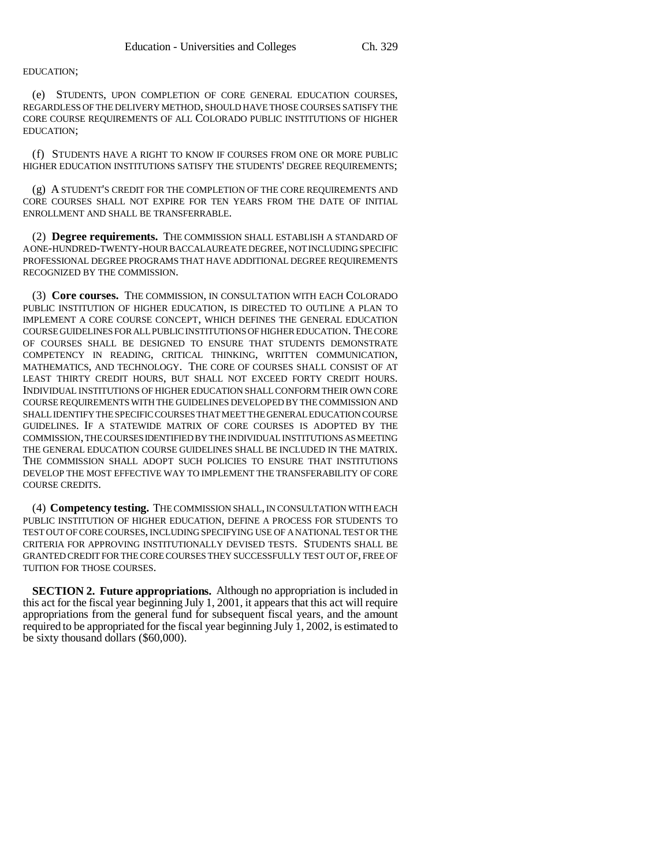EDUCATION;

(e) STUDENTS, UPON COMPLETION OF CORE GENERAL EDUCATION COURSES, REGARDLESS OF THE DELIVERY METHOD, SHOULD HAVE THOSE COURSES SATISFY THE CORE COURSE REQUIREMENTS OF ALL COLORADO PUBLIC INSTITUTIONS OF HIGHER EDUCATION;

(f) STUDENTS HAVE A RIGHT TO KNOW IF COURSES FROM ONE OR MORE PUBLIC HIGHER EDUCATION INSTITUTIONS SATISFY THE STUDENTS' DEGREE REQUIREMENTS;

(g) A STUDENT'S CREDIT FOR THE COMPLETION OF THE CORE REQUIREMENTS AND CORE COURSES SHALL NOT EXPIRE FOR TEN YEARS FROM THE DATE OF INITIAL ENROLLMENT AND SHALL BE TRANSFERRABLE.

(2) **Degree requirements.** THE COMMISSION SHALL ESTABLISH A STANDARD OF A ONE-HUNDRED-TWENTY-HOUR BACCALAUREATE DEGREE, NOT INCLUDING SPECIFIC PROFESSIONAL DEGREE PROGRAMS THAT HAVE ADDITIONAL DEGREE REQUIREMENTS RECOGNIZED BY THE COMMISSION.

(3) **Core courses.** THE COMMISSION, IN CONSULTATION WITH EACH COLORADO PUBLIC INSTITUTION OF HIGHER EDUCATION, IS DIRECTED TO OUTLINE A PLAN TO IMPLEMENT A CORE COURSE CONCEPT, WHICH DEFINES THE GENERAL EDUCATION COURSE GUIDELINES FOR ALL PUBLIC INSTITUTIONS OF HIGHER EDUCATION. THE CORE OF COURSES SHALL BE DESIGNED TO ENSURE THAT STUDENTS DEMONSTRATE COMPETENCY IN READING, CRITICAL THINKING, WRITTEN COMMUNICATION, MATHEMATICS, AND TECHNOLOGY. THE CORE OF COURSES SHALL CONSIST OF AT LEAST THIRTY CREDIT HOURS, BUT SHALL NOT EXCEED FORTY CREDIT HOURS. INDIVIDUAL INSTITUTIONS OF HIGHER EDUCATION SHALL CONFORM THEIR OWN CORE COURSE REQUIREMENTS WITH THE GUIDELINES DEVELOPED BY THE COMMISSION AND SHALL IDENTIFY THE SPECIFIC COURSES THAT MEET THE GENERAL EDUCATION COURSE GUIDELINES. IF A STATEWIDE MATRIX OF CORE COURSES IS ADOPTED BY THE COMMISSION, THE COURSES IDENTIFIED BY THE INDIVIDUAL INSTITUTIONS AS MEETING THE GENERAL EDUCATION COURSE GUIDELINES SHALL BE INCLUDED IN THE MATRIX. THE COMMISSION SHALL ADOPT SUCH POLICIES TO ENSURE THAT INSTITUTIONS DEVELOP THE MOST EFFECTIVE WAY TO IMPLEMENT THE TRANSFERABILITY OF CORE COURSE CREDITS.

(4) **Competency testing.** THE COMMISSION SHALL, IN CONSULTATION WITH EACH PUBLIC INSTITUTION OF HIGHER EDUCATION, DEFINE A PROCESS FOR STUDENTS TO TEST OUT OF CORE COURSES, INCLUDING SPECIFYING USE OF A NATIONAL TEST OR THE CRITERIA FOR APPROVING INSTITUTIONALLY DEVISED TESTS. STUDENTS SHALL BE GRANTED CREDIT FOR THE CORE COURSES THEY SUCCESSFULLY TEST OUT OF, FREE OF TUITION FOR THOSE COURSES.

**SECTION 2. Future appropriations.** Although no appropriation is included in this act for the fiscal year beginning July 1, 2001, it appears that this act will require appropriations from the general fund for subsequent fiscal years, and the amount required to be appropriated for the fiscal year beginning July 1, 2002, is estimated to be sixty thousand dollars (\$60,000).